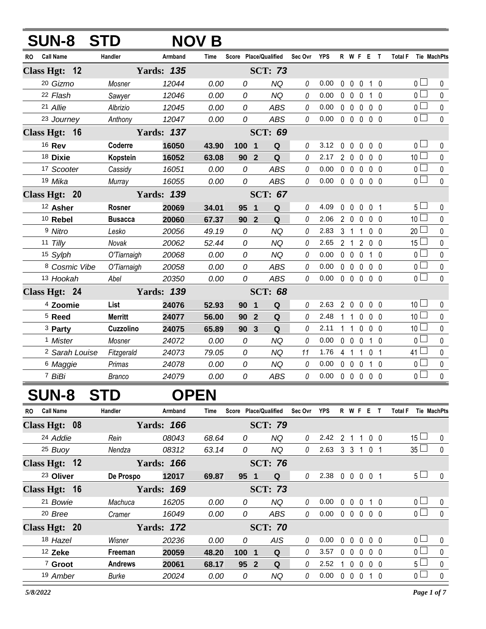|     | <b>SUN-8 STD</b>          |                |                   | NOV B |                               |                     |          |            |                |                                 |             |                 |   |                 |                |             |
|-----|---------------------------|----------------|-------------------|-------|-------------------------------|---------------------|----------|------------|----------------|---------------------------------|-------------|-----------------|---|-----------------|----------------|-------------|
| RO. | <b>Call Name</b>          | Handler        | Armband           | Time  | Score Place/Qualified         |                     | Sec Ovr  | <b>YPS</b> |                | R W F E T                       |             |                 |   | <b>Total F</b>  |                | Tie MachPts |
|     | Class Hgt: 12             |                | <b>Yards: 135</b> |       |                               | <b>SCT: 73</b>      |          |            |                |                                 |             |                 |   |                 |                |             |
|     | 20 Gizmo                  | Mosner         | 12044             | 0.00  | 0                             | <b>NQ</b>           | 0        | 0.00       | $\mathbf 0$    | $\mathbf{0}$                    | $\mathbf 0$ | 1 <sub>0</sub>  |   |                 | 0 <sup>1</sup> | 0           |
|     | 22 Flash                  | Sawyer         | 12046             | 0.00  | 0                             | <b>NQ</b>           | 0        | 0.00       | $\mathbf 0$    | $\mathbf 0$                     | $\mathbf 0$ | 1 <sub>0</sub>  |   |                 | $\overline{0}$ | $\pmb{0}$   |
|     | 21 Allie                  | Albrizio       | 12045             | 0.00  | 0                             | <b>ABS</b>          | $\it{0}$ | 0.00       | $\mathbf 0$    | $\mathbf 0$                     | $\mathbf 0$ | $\mathbf 0$     | 0 | 0 <sup>1</sup>  |                | $\pmb{0}$   |
|     | 23 Journey                | Anthony        | 12047             | 0.00  | 0                             | <b>ABS</b>          | 0        | 0.00       |                | $0\quad 0\quad 0\quad$          |             | 0 <sub>0</sub>  |   |                 | $\overline{0}$ | $\mathbf 0$ |
|     | Class Hgt: 16             |                | <b>Yards: 137</b> |       |                               | <b>SCT: 69</b>      |          |            |                |                                 |             |                 |   |                 |                |             |
|     | 16 Rev                    | Coderre        | 16050             | 43.90 | 100<br>$\mathbf 1$            | Q                   | 0        | 3.12       | 0              | $\mathbf 0$                     | $\mathbf 0$ | 0 <sub>0</sub>  |   |                 | $\overline{0}$ | 0           |
|     | 18 Dixie                  | Kopstein       | 16052             | 63.08 | 90 <sub>o</sub>               | $\overline{2}$<br>Q | 0        | 2.17       |                | $2\quad 0$                      | $\mathbf 0$ | 0 <sub>0</sub>  |   | 10 <sup>1</sup> |                | $\pmb{0}$   |
|     | 17 Scooter                | Cassidy        | 16051             | 0.00  | 0                             | <b>ABS</b>          | 0        | 0.00       | $\mathbf 0$    | $\mathbf 0$                     | $\mathbf 0$ | 0 <sub>0</sub>  |   | 0 l             |                | $\pmb{0}$   |
|     | 19 Mika                   | Murray         | 16055             | 0.00  | 0                             | <b>ABS</b>          | 0        | 0.00       |                | 00000                           |             |                 |   |                 | 0 <sub>0</sub> | $\pmb{0}$   |
|     | Class Hgt: 20             |                | <b>Yards: 139</b> |       |                               | <b>SCT: 67</b>      |          |            |                |                                 |             |                 |   |                 |                |             |
|     | 12 Asher                  | <b>Rosner</b>  | 20069             | 34.01 | 95<br>$\overline{\mathbf{1}}$ | Q                   | 0        | 4.09       | $\mathbf 0$    | $\mathbf{0}$                    |             | $0\quad0\quad1$ |   |                 | 5 <sub>1</sub> | 0           |
|     | 10 Rebel                  | <b>Busacca</b> | 20060             | 67.37 | 90                            | Q<br>$\overline{2}$ | 0        | 2.06       |                | $2\quad0$                       | $\mathbf 0$ | 0 <sub>0</sub>  |   | 10 <sup>1</sup> |                | $\pmb{0}$   |
|     | 9 Nitro                   | Lesko          | 20056             | 49.19 | 0                             | <b>NQ</b>           | 0        | 2.83       | 3 <sub>1</sub> |                                 | 1           | 0 <sub>0</sub>  |   | 20 <sup>1</sup> |                | $\pmb{0}$   |
|     | 11 $Tilly$                | Novak          | 20062             | 52.44 | 0                             | <b>NQ</b>           | 0        | 2.65       |                | 2 <sub>1</sub>                  | 2           | 0 <sub>0</sub>  |   | 15 <sup>1</sup> |                | $\pmb{0}$   |
|     | 15 Sylph                  | O'Tiarnaigh    | 20068             | 0.00  | 0                             | <b>NQ</b>           | 0        | 0.00       |                | $0\quad 0$                      | $\mathbf 0$ | $1\quad0$       |   | 0 l             |                | $\mathbf 0$ |
|     | 8 Cosmic Vibe             | O'Tiarnaigh    | 20058             | 0.00  | 0                             | <b>ABS</b>          | 0        | 0.00       |                | $0\quad 0$                      | $\mathbf 0$ | 0 <sub>0</sub>  |   |                 | 0 <sub>1</sub> | $\pmb{0}$   |
|     | 13 Hookah                 | Abel           | 20350             | 0.00  | 0                             | <b>ABS</b>          | 0        | 0.00       |                | $0\quad 0$                      | $\mathbf 0$ | 0 <sub>0</sub>  |   |                 | $0-$           | $\mathbf 0$ |
|     | Class Hgt: 24             |                | <b>Yards: 139</b> |       |                               | <b>SCT: 68</b>      |          |            |                |                                 |             |                 |   |                 |                |             |
|     | <sup>4</sup> Zoomie       | List           | 24076             | 52.93 | 90<br>$\mathbf 1$             | $\mathbf Q$         | 0        | 2.63       | $2^{\circ}$    | $\mathbf 0$                     | $\mathbf 0$ | $0\quad 0$      |   | 10 <sup>1</sup> |                | 0           |
|     | <sup>5</sup> Reed         | <b>Merritt</b> | 24077             | 56.00 | 90                            | $\overline{2}$<br>Q | 0        | 2.48       | 1              | $\mathbf{1}$                    | $\mathbf 0$ | 0 <sub>0</sub>  |   | 10 <sup>2</sup> |                | 0           |
|     | <sup>3</sup> Party        | Cuzzolino      | 24075             | 65.89 | 90                            | $\overline{3}$<br>Q | 0        | 2.11       | 1              | 1                               | 0           | 0 <sub>0</sub>  |   | 10 <sup>L</sup> |                | $\mathbf 0$ |
|     | <sup>1</sup> Mister       | Mosner         | 24072             | 0.00  | 0                             | <b>NQ</b>           | 0        | 0.00       | $\mathbf 0$    | $\overline{0}$                  | $\mathbf 0$ | $1\quad0$       |   | 0 l             |                | 0           |
|     | <sup>2</sup> Sarah Louise | Fitzgerald     | 24073             | 79.05 | 0                             | <b>NQ</b>           | 11       | 1.76       | 4 <sub>1</sub> |                                 | 1           | 0 <sub>1</sub>  |   | 41 L            |                | $\pmb{0}$   |
|     | <sup>6</sup> Maggie       | Primas         | 24078             | 0.00  | 0                             | <b>NQ</b>           | 0        | 0.00       |                | 0 <sub>0</sub>                  | $\mathbf 0$ | $1\quad0$       |   | 0 l             |                | 0           |
|     | 7 BiBi                    | <b>Branco</b>  | 24079             | 0.00  | 0                             | <b>ABS</b>          | 0        | 0.00       |                | $0\quad 0\quad 0\quad 0\quad 0$ |             |                 |   |                 | 0 <sup>1</sup> | $\mathbf 0$ |

## **SUN-8 STD OPEN**

| <b>Call Name</b><br><b>RO</b> | Handler        | Armband           | Time  | <b>Score</b>    | <b>Place/Qualified</b> | Sec Ovr | <b>YPS</b> |              | R W F          |          | E                 |                | <b>Total F</b><br><b>Tie MachPts</b> |              |
|-------------------------------|----------------|-------------------|-------|-----------------|------------------------|---------|------------|--------------|----------------|----------|-------------------|----------------|--------------------------------------|--------------|
| Class Hgt: 08                 |                | <b>Yards: 166</b> |       |                 | <b>SCT: 79</b>         |         |            |              |                |          |                   |                |                                      |              |
| 24 Addie                      | Rein           | 08043             | 68.64 | 0               | NQ.                    | 0       | 2.42       | 2            |                |          |                   | $0\quad 0$     | $15 \Box$                            | $\Omega$     |
| $25$ Buoy                     | Nendza         | 08312             | 63.14 | 0               | ΝQ                     | 0       | 2.63       | 3            | $\mathbf{3}$   |          | 0 <sub>1</sub>    |                | 35 <sup>5</sup>                      | $\Omega$     |
| Class Hgt: 12                 |                | <b>Yards: 166</b> |       |                 | <b>SCT: 76</b>         |         |            |              |                |          |                   |                |                                      |              |
| <sup>23</sup> Oliver          | De Prospo      | 12017             | 69.87 | 95 <sub>1</sub> | Q                      | 0       | 2.38       | $\mathbf{0}$ | $\overline{0}$ |          | 0 0 1             |                | 5 <sub>1</sub>                       | $\Omega$     |
| Class Hgt: 16                 |                | <b>Yards: 169</b> |       |                 | <b>SCT: 73</b>         |         |            |              |                |          |                   |                |                                      |              |
| <sup>21</sup> Bowie           | Machuca        | 16205             | 0.00  | 0               | NQ                     | 0       | 0.00       | 0            | $\cup$         | $\Omega$ |                   | $\Omega$       | $\cap$ $\Box$                        | $\Omega$     |
| 20 Bree                       | Cramer         | 16049             | 0.00  | 0               | ABS                    | 0       | 0.00       | $\Omega$     | $\Omega$       |          | $0\quad 0\quad 0$ |                | $\overline{0}$                       | $\Omega$     |
| Class Hgt: 20                 |                | <b>Yards: 172</b> |       |                 | <b>SCT: 70</b>         |         |            |              |                |          |                   |                |                                      |              |
| 18 Hazel                      | Wisner         | 20236             | 0.00  | 0               | <b>AIS</b>             | 0       | 0.00       | 0            | $\overline{0}$ | $\Omega$ | 0 O               |                | $\cap$ $\Box$                        | $\Omega$     |
| $12$ Zeke                     | Freeman        | 20059             | 48.20 | 100 1           | Q                      | 0       | 3.57       | 0            | $\Omega$       | $\Omega$ |                   | 0 <sub>0</sub> | n l                                  | $\cup$       |
| 7 Groot                       | <b>Andrews</b> | 20061             | 68.17 | 95 2            | Q                      | 0       | 2.52       |              | $\Omega$       | $\Omega$ |                   | 0 0            | 5 <sup>1</sup>                       | $\Omega$     |
| 19 Amber                      | Burke          | 20024             | 0.00  | 0               | NQ                     | 0       | 0.00       | 0            | $\theta$       | $\Omega$ |                   | $\Omega$       | 0 <sub>l</sub>                       | <sup>n</sup> |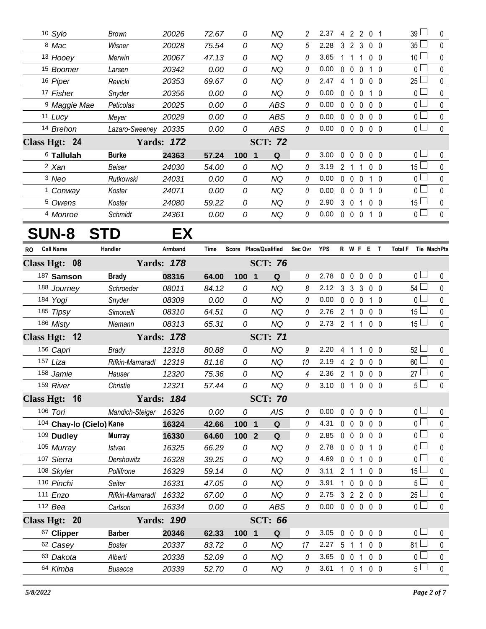|    | 10 Sylo                  | <b>Brown</b>         | 20026             | 72.67 | 0                              | NQ                    | 2              | 2.37           |                     |                   | 42201             |                | 39 L                          | 0         |
|----|--------------------------|----------------------|-------------------|-------|--------------------------------|-----------------------|----------------|----------------|---------------------|-------------------|-------------------|----------------|-------------------------------|-----------|
|    | 8 Mac                    | Wisner               | 20028             | 75.54 | 0                              | <b>NQ</b>             | 5              | 2.28           |                     | 3 <sub>2</sub>    | 3                 | $0\quad 0$     | 35L                           | 0         |
|    | 13 Hooey                 | Merwin               | 20067             | 47.13 | 0                              | ΝQ                    | 0              | 3.65           | 1                   | $\overline{1}$    | 1                 | 0 <sub>0</sub> | 10 <sup>L</sup>               | 0         |
|    | 15 Boomer                | Larsen               | 20342             | 0.00  | 0                              | <b>NQ</b>             | 0              | 0.00           |                     | $0\quad 0$        | $\mathbf 0$       | $1\quad0$      | 0 <sub>l</sub>                | 0         |
|    | 16 Piper                 | Revicki              | 20353             | 69.67 | 0                              | NQ                    | 0              | 2.47           | 4 1                 |                   | $\mathbf 0$       | $0\quad 0$     | 25 <sup>L</sup>               | 0         |
|    | 17 Fisher                | Snyder               | 20356             | 0.00  | 0                              | <b>NQ</b>             | 0              | 0.00           |                     | $0\quad 0$        | $\mathbf 0$       | $1\quad0$      | 0 <sup>L</sup>                | 0         |
|    | <sup>9</sup> Maggie Mae  | Peticolas            | 20025             | 0.00  | 0                              | <b>ABS</b>            | 0              | 0.00           | $0\quad 0$          |                   | $\mathbf 0$       | $0\quad 0$     | 0 <sup>L</sup>                | 0         |
|    | 11 Lucy                  | Meyer                | 20029             | 0.00  | 0                              | <b>ABS</b>            | 0              | 0.00           |                     | $0\quad 0$        | $\overline{0}$    | 0 <sub>0</sub> | 0 <sup>1</sup>                | $\pmb{0}$ |
|    | 14 Brehon                | Lazaro-Sweeney 20335 |                   | 0.00  | 0                              | <b>ABS</b>            | 0              | 0.00           |                     |                   | 00000             |                | 0 <sup>1</sup>                | 0         |
|    | Class Hgt: 24            |                      | <b>Yards: 172</b> |       |                                | <b>SCT: 72</b>        |                |                |                     |                   |                   |                |                               |           |
|    | 6 Tallulah               | <b>Burke</b>         | 24363             | 57.24 | 100<br>$\overline{\mathbf{1}}$ | Q                     | 0              | 3.00           | $\mathbf 0$         | $\mathbf{0}$      | $\mathbf 0$       | 0 <sub>0</sub> | 0 <sup>1</sup>                | 0         |
|    | <sup>2</sup> Xan         | Beiser               | 24030             | 54.00 | 0                              | NQ                    | 0              | 3.19           | 2 <sub>1</sub>      |                   | 1                 | 0 <sub>0</sub> | 15 <sup>L</sup>               | 0         |
|    | 3 Neo                    | Rutkowski            | 24031             | 0.00  | 0                              | <b>NQ</b>             | 0              | 0.00           |                     | $0\quad 0$        | $\mathbf 0$       | $1\quad0$      | 0 <sup>1</sup>                | 0         |
|    | <sup>1</sup> Conway      | Koster               | 24071             | 0.00  | 0                              | ΝQ                    | 0              | 0.00           | $0\quad 0$          |                   | $\mathbf 0$       | 10             | 0 <sub>0</sub>                | 0         |
|    | <sup>5</sup> Owens       | Koster               | 24080             | 59.22 | 0                              | <b>NQ</b>             | 0              | 2.90           | 3 <sub>0</sub>      |                   | -1                | $0\quad 0$     | 15 <sub>–</sub>               | 0         |
|    | 4 Monroe                 | Schmidt              | 24361             | 0.00  | 0                              | NQ                    | 0              | 0.00           |                     |                   | 0 0 0 1 0         |                | 0 <sub>0</sub>                | 0         |
|    |                          |                      |                   |       |                                |                       |                |                |                     |                   |                   |                |                               |           |
|    | <b>SUN-8</b>             | <b>STD</b>           | EX                |       |                                |                       |                |                |                     |                   |                   |                |                               |           |
| RO | <b>Call Name</b>         | Handler              | Armband           | Time  |                                | Score Place/Qualified | Sec Ovr        | <b>YPS</b>     |                     |                   | R W F E T         |                | Tie MachPts<br><b>Total F</b> |           |
|    | Class Hgt: 08            |                      | <b>Yards: 178</b> |       |                                | <b>SCT: 76</b>        |                |                |                     |                   |                   |                |                               |           |
|    | 187 Samson               | <b>Brady</b>         | 08316             | 64.00 | 100 1                          | Q                     | 0              | 2.78           | $\mathbf 0$         | $\mathbf 0$       | $\mathbf 0$       | $0\quad 0$     | 0 <sub>l</sub>                | 0         |
|    | 188 Journey              | Schroeder            | 08011             | 84.12 | 0                              | <b>NQ</b>             | 8              | 2.12           |                     | 3 <sub>3</sub>    | 3                 | $0\quad 0$     | 54                            | 0         |
|    | 184 Yogi                 | Snyder               | 08309             | 0.00  | 0                              | ΝQ                    | 0              | 0.00           | $0\quad 0$          |                   | 0                 | 10             | 0 <sub>l</sub>                | 0         |
|    | 185 Tipsy                | Simonelli            | 08310             | 64.51 | 0                              | ΝQ                    | 0              | 2.76           | 2 <sub>1</sub>      |                   | $\mathbf 0$       | $0\quad 0$     | $15\perp$                     | 0         |
|    | 186 Misty                | Niemann              | 08313             | 65.31 | 0                              | <b>NQ</b>             | $\theta$       | 2.73 2 1       |                     |                   | $\mathbf{1}$      | $0\quad 0$     | 15 <sup>1</sup>               | 0         |
|    | Class Hgt: 12            |                      | <b>Yards: 178</b> |       |                                | <b>SCT: 71</b>        |                |                |                     |                   |                   |                |                               |           |
|    | 156 Capri                | <b>Brady</b>         | 12318             | 80.88 | 0                              | <b>NQ</b>             | 9              | 2.20           | 4 <sub>1</sub>      |                   | 1                 | 0 <sub>0</sub> | 52 <sup>1</sup>               | 0         |
|    | 157 Liza                 | Rifkin-Mamaradl      | 12319             | 81.16 | 0                              | NQ                    | 10             | 2.19           | 4 2                 |                   | $\mathbf{0}$      | 0 <sub>0</sub> | $60 -$                        | 0         |
|    | 158 Jamie                | Hauser               | 12320             | 75.36 | 0                              | <b>NQ</b>             | $\overline{4}$ | 2.36           | 2 <sub>1</sub>      |                   | $\mathbf 0$       | $0\quad 0$     | 27 L                          | 0         |
|    | 159 River                | Christie             | 12321             | 57.44 | 0                              | NQ                    | 0              | 3.10 0 1 0 0 0 |                     |                   |                   |                | $5\Box$                       | 0         |
|    | Class Hgt: 16            |                      | <b>Yards: 184</b> |       |                                | <b>SCT: 70</b>        |                |                |                     |                   |                   |                |                               |           |
|    | 106 Tori                 | Mandich-Steiger      | 16326             | 0.00  | 0                              | AIS                   | 0              | 0.00           |                     |                   | 00000             |                | 0 <sub>0</sub>                | 0         |
|    | 104 Chay-lo (Cielo) Kane |                      | 16324             | 42.66 | 100 1                          | Q                     | 0              | 4.31           |                     | $0\quad 0$        | $\mathbf 0$       | $0\quad 0$     | 0 <sup>1</sup>                | 0         |
|    | 109 Dudley               | <b>Murray</b>        | 16330             | 64.60 | 100 2                          | Q                     | 0              | 2.85           |                     |                   | $0\quad 0\quad 0$ | $0\quad 0$     | 0 <sub>l</sub>                | 0         |
|    | 105 Murray               | Istvan               | 16325             | 66.29 | 0                              | NQ                    | 0              | 2.78           |                     | $0\quad 0\quad 0$ |                   | 1 0            | 0 <sub>1</sub>                | 0         |
|    | 107 Sierra               | Dershowitz           | 16328             | 39.25 | 0                              | <b>NQ</b>             | 0              | 4.69           | $0\quad 0$          |                   | 1 0 0             |                | 0 L                           | 0         |
|    | 108 Skyler               | Pollifrone           | 16329             | 59.14 | 0                              | ΝQ                    | 0              | 3.11           |                     | 2 <sub>1</sub>    | $\mathbf{1}$      | $0\quad 0$     | 15 <sup>2</sup>               | 0         |
|    | 110 Pinchi               | Seiter               | 16331             | 47.05 | 0                              | <b>NQ</b>             | 0              | 3.91           |                     |                   | 1 0 0 0 0         |                | 5 <sup>1</sup>                | 0         |
|    | 111 Enzo                 | Rifkin-Mamaradl      | 16332             | 67.00 | 0                              | NQ                    | 0              | 2.75           |                     |                   | 3 2 2 0 0         |                | 25 L                          | 0         |
|    | 112 Bea                  | Carlson              | 16334             | 0.00  | 0                              | ABS                   | 0              | 0.00           |                     |                   | 0 0 0 0 0         |                | 0 <sup>1</sup>                | 0         |
|    | Class Hgt: 20            |                      | <b>Yards: 190</b> |       |                                | <b>SCT: 66</b>        |                |                |                     |                   |                   |                |                               |           |
|    | 67 Clipper               | <b>Barber</b>        | 20346             | 62.33 | $100$ 1                        | Q                     | 0              | 3.05           | $0\quad 0$          |                   | $\mathbf 0$       | $0\quad 0$     | $0-$                          | 0         |
|    | 62 Casey                 | <b>Boster</b>        | 20337             | 83.72 | 0                              | <b>NQ</b>             | 17             | 2.27           | 5 <sub>1</sub>      |                   | 1                 | $0\quad 0$     | 81 <sup>L</sup>               | 0         |
|    | 63 Dakota                | Alberti              | 20338             | 52.09 | 0                              | <b>NQ</b>             | 0              | 3.65           | $0\quad 0$          |                   | $\overline{1}$    | $0\quad 0$     | 0 <sup>1</sup>                | 0         |
|    | 64 Kimba                 | <b>Busacca</b>       | 20339             | 52.70 | 0                              | <b>NQ</b>             | 0              | 3.61           | $1 \quad 0 \quad 1$ |                   |                   | $0\quad 0$     | $5+$                          | $\pmb{0}$ |
|    |                          |                      |                   |       |                                |                       |                |                |                     |                   |                   |                |                               |           |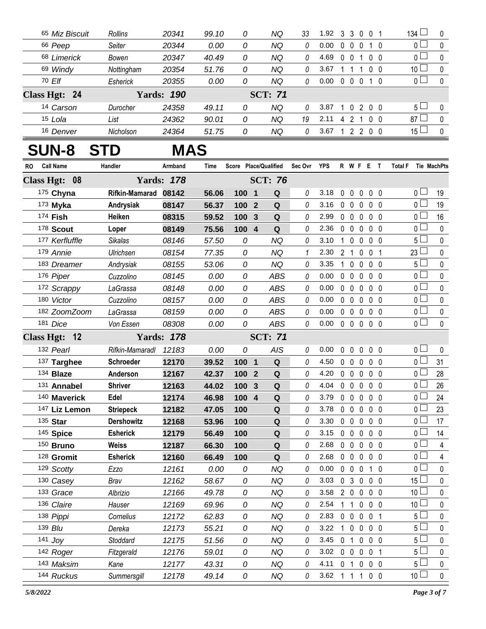| 65 Miz Biscuit         | Rollins           | 20341             | 99.10 | 0                     |                         | ΝQ             | 33      | 1.92       | 3            | 3                 | $\mathbf 0$                     | 0 <sub>1</sub> | $134 \square$         | 0                  |
|------------------------|-------------------|-------------------|-------|-----------------------|-------------------------|----------------|---------|------------|--------------|-------------------|---------------------------------|----------------|-----------------------|--------------------|
| 66 Peep                | Seiter            | 20344             | 0.00  | 0                     |                         | <b>NQ</b>      | 0       | 0.00       |              | $0\quad 0$        | $\mathbf 0$                     | $1\quad0$      | 0 <sup>1</sup>        | 0                  |
| 68 Limerick            | Bowen             | 20347             | 40.49 | 0                     |                         | <b>NQ</b>      | 0       | 4.69       |              | $0 \t0 \t1$       |                                 | 0 <sub>0</sub> | 0 <sub>0</sub>        | $\mathbf 0$        |
| 69 Windy               | Nottingham        | 20354             | 51.76 | 0                     |                         | <b>NQ</b>      | 0       | 3.67       | $1\quad1$    |                   | $\overline{1}$                  | 0 <sub>0</sub> | 10 <sup>1</sup>       | 0                  |
| 70 Elf                 | Esherick          | 20355             | 0.00  | 0                     |                         | <b>NQ</b>      | 0       | 0.00       |              | $0\quad 0\quad 0$ |                                 | $1\quad0$      | $\overline{0}$        | $\pmb{0}$          |
| Class Hgt: 24          |                   | <b>Yards: 190</b> |       |                       |                         | <b>SCT: 71</b> |         |            |              |                   |                                 |                |                       |                    |
| 14 Carson              | Durocher          | 24358             | 49.11 | 0                     |                         | <b>NQ</b>      | 0       | 3.87       |              |                   | 1 0 2 0 0                       |                | 5 <sub>1</sub>        | 0                  |
| 15 Lola                | List              | 24362             | 90.01 | 0                     |                         | <b>NQ</b>      | 19      | 2.11       |              | 4 2 1             |                                 | 0 <sub>0</sub> | 87 <sup>L</sup>       | 0                  |
| 16 Denver              | Nicholson         | 24364             | 51.75 | 0                     |                         | NQ             | 0       | 3.67       |              |                   | 1 2 2 0 0                       |                | $15\perp$             | $\mathbf 0$        |
| <b>SUN-8</b><br>S      | TD.               | MAS               |       |                       |                         |                |         |            |              |                   |                                 |                |                       |                    |
| <b>Call Name</b><br>RO | Handler           | Armband           | Time  | Score Place/Qualified |                         |                | Sec Ovr | <b>YPS</b> |              |                   | <b>R W F E T</b>                |                | <b>Total F</b>        | <b>Tie MachPts</b> |
| Class Hgt: 08          |                   | <b>Yards: 178</b> |       |                       |                         | <b>SCT: 76</b> |         |            |              |                   |                                 |                |                       |                    |
| 175 Chyna              | Rifkin-Mamarad    | 08142             | 56.06 | 100                   | -1                      | Q              | 0       | 3.18       | $\mathbf 0$  | $\mathbf 0$       | $\mathbf 0$                     | 0 <sub>0</sub> | 0 <sub>0</sub>        | 19                 |
| $173$ Myka             | Andrysiak         | 08147             | 56.37 | 100                   | $\overline{2}$          | ${\bf Q}$      | 0       | 3.16       |              | $0\quad 0$        | 0                               | 0 <sub>0</sub> | 0 <sub>0</sub>        | 19                 |
| 174 Fish               | Heiken            | 08315             | 59.52 | 100                   | $\overline{\mathbf{3}}$ | Q              | 0       | 2.99       |              | $0\quad 0$        | $\mathbf 0$                     | 0 <sub>0</sub> | 0 <sub>0</sub>        | 16                 |
| 178 Scout              | Loper             | 08149             | 75.56 | 100                   | $\overline{4}$          | ${\bf Q}$      | 0       | 2.36       |              | $0\quad 0$        | 0                               | 0 <sub>0</sub> | 0 <sub>0</sub>        | 0                  |
| 177 Kerfluffle         | <b>Sikalas</b>    | 08146             | 57.50 | 0                     |                         | <b>NQ</b>      | 0       | 3.10       | $\mathbf{1}$ | $\mathbf 0$       | $\mathbf 0$                     | 0 <sub>0</sub> | 5 <sub>1</sub>        | 0                  |
| 179 Annie              | Ulrichsen         | 08154             | 77.35 | 0                     |                         | <b>NQ</b>      | 1       | 2.30       |              | 2 <sub>1</sub>    | $\mathbf 0$                     | 0 <sub>1</sub> | 23 <sup>L</sup>       | 0                  |
| 183 Dreamer            | Andrysiak         | 08155             | 53.06 | 0                     |                         | <b>NQ</b>      | 0       | 3.35       | 1            | $\mathbf 0$       | $\mathbf 0$                     | 0 <sub>0</sub> | 5 <sub>1</sub>        | 0                  |
| 176 Piper              | Cuzzolino         | 08145             | 0.00  | 0                     |                         | <b>ABS</b>     | 0       | 0.00       |              | $0\quad 0$        | $\mathbf 0$                     | 0 <sub>0</sub> | 0 <sub>l</sub>        | 0                  |
| 172 Scrappy            | LaGrassa          | 08148             | 0.00  | 0                     |                         | <b>ABS</b>     | 0       | 0.00       | $\mathbf{0}$ | $\mathbf 0$       | $\mathbf 0$                     | 0 <sub>0</sub> | $\overline{0}$        | 0                  |
| 180 Victor             | Cuzzolino         | 08157             | 0.00  | 0                     |                         | <b>ABS</b>     | 0       | 0.00       |              | $0\quad 0$        | 0                               | 0 <sub>0</sub> | $\overline{0}$        | 0                  |
| 182 ZoomZoom           | LaGrassa          | 08159             | 0.00  | 0                     |                         | <b>ABS</b>     | 0       | 0.00       |              | $0\quad 0$        | $\mathbf 0$                     | 0 <sub>0</sub> | $\overline{0}$        | 0                  |
| 181 Dice               | Von Essen         | 08308             | 0.00  | 0                     |                         | <b>ABS</b>     | 0       | 0.00       |              |                   | 00000                           |                | $\overline{0}$        | 0                  |
| Class Hgt: 12          |                   | <b>Yards: 178</b> |       |                       |                         | <b>SCT: 71</b> |         |            |              |                   |                                 |                |                       |                    |
| 132 Pearl              | Rifkin-Mamaradl   | 12183             | 0.00  | 0                     |                         | AIS            | 0       | 0.00       | $\mathbf{0}$ | $\mathbf 0$       | $\mathbf 0$                     | 0 <sub>0</sub> | $\overline{0}$ $\Box$ | 0                  |
| 137 Targhee            | <b>Schroeder</b>  | 12170             | 39.52 | 100                   | $\overline{1}$          | ${\bf Q}$      | 0       | 4.50       |              | $0\quad 0$        | $\mathbf{0}$                    | 0 <sub>0</sub> | 0 <sub>1</sub>        | 31                 |
| 134 <b>Blaze</b>       | Anderson          | 12167             | 42.37 | 100 2                 |                         | $\mathbf Q$    | 0       | 4.20       |              |                   | 00000                           |                | 0 <sub>0</sub>        | 28                 |
| 131 Annabel            | <b>Shriver</b>    | 12163             | 44.02 | 100 3                 |                         | $\Omega$       | 0       | 4.04       |              |                   | $0\quad 0\quad 0\quad 0\quad 0$ |                | 0                     | 26                 |
| 140 Maverick           | Edel              | 12174             | 46.98 | $100$ 4               |                         | Q              | 0       | 3.79       |              | $0\quad 0$        | $0\quad 0\quad 0$               |                | $0-$                  | 24                 |
| 147 Liz Lemon          | <b>Striepeck</b>  | 12182             | 47.05 | 100                   |                         | Q              | 0       | 3.78       |              | $0\quad 0$        | $\mathbf 0$                     | $0\quad 0$     | 0 L                   | 23                 |
| 135 Star               | <b>Dershowitz</b> | 12168             | 53.96 | 100                   |                         | $\mathbf Q$    | 0       | 3.30       |              | $0\quad 0$        | $\mathbf 0$                     | 0 <sub>0</sub> | 0 <sub>0</sub>        | 17                 |
| 145 Spice              | <b>Esherick</b>   | 12179             | 56.49 | 100                   |                         | Q              | 0       | 3.15       |              | $0\quad 0$        | 0                               | 0 <sub>0</sub> | 0 <sub>0</sub>        | 14                 |
| 150 Bruno              | <b>Weiss</b>      | 12187             | 66.30 | 100                   |                         | $\mathbf Q$    | 0       | 2.68       |              | $0\quad 0$        | $\mathbf 0$                     | 0 <sub>0</sub> | $0\perp$              | 4                  |
| 128 Gromit             | <b>Esherick</b>   | 12160             | 66.49 | 100                   |                         | Q              | 0       | 2.68       |              | $0\quad 0$        | $\mathbf 0$                     | 0 <sub>0</sub> | 0 <sub>l</sub>        | 4                  |
| 129 Scotty             | Ezzo              | 12161             | 0.00  | 0                     |                         | <b>NQ</b>      | 0       | 0.00       |              | $0\quad 0$        | $\mathbf 0$                     | $1\quad0$      | 0 <sub>l</sub>        | 0                  |
| 130 Casey              | Brav              | 12162             | 58.67 | 0                     |                         | NQ             | 0       | 3.03       |              | 0 <sub>3</sub>    | $\mathbf 0$                     | 0 <sub>0</sub> | $15 -$                | 0                  |
| 133 Grace              | Albrizio          | 12166             | 49.78 | 0                     |                         | <b>NQ</b>      | 0       | 3.58       |              | $2\quad0$         | $\mathbf 0$                     | 0 <sub>0</sub> | 10 <sup>L</sup>       | 0                  |
| 136 Claire             | Hauser            | 12169             | 69.96 | 0                     |                         | NQ             | 0       | 2.54       | 1            | $\overline{1}$    | $\mathbf 0$                     | 0 <sub>0</sub> | 10 <sup>2</sup>       | 0                  |
| 138 Pippi              | Cornelius         | 12172             | 62.83 | 0                     |                         | <b>NQ</b>      | 0       | 2.83       |              | $0\quad 0$        | 0                               | 0 <sub>1</sub> | $5+$                  | 0                  |
| 139 Blu                | Dereka            | 12173             | 55.21 | 0                     |                         | NQ             | 0       | 3.22       | 1            | $\mathbf 0$       | $\mathbf 0$                     | 0 <sub>0</sub> | 5 L                   | 0                  |
| 141 $Joy$              | Stoddard          | 12175             | 51.56 | 0                     |                         | <b>NQ</b>      | 0       | 3.45       | $\mathbf{0}$ | -1                | $\mathbf 0$                     | 0 <sub>0</sub> | 5 <sub>1</sub>        | 0                  |
| 142 Roger              | Fitzgerald        | 12176             | 59.01 | 0                     |                         | NQ             | 0       | 3.02       |              | $0\quad 0$        | $\mathbf 0$                     | 0 <sub>1</sub> | 5 <sup>1</sup>        | 0                  |
| 143 Maksim             | Kane              | 12177             | 43.31 | 0                     |                         | <b>NQ</b>      | 0       | 4.11       | $\mathbf{0}$ | -1                | $\mathbf 0$                     | 0 <sub>0</sub> | ا 5                   | 0                  |
| 144 Ruckus             | Summersgill       | 12178             | 49.14 | 0                     |                         | NQ             | 0       | 3.62       |              | $1 \quad 1$       | $\mathbf{1}$                    | $0\quad 0$     | 10 <sup>1</sup>       | 0                  |
|                        |                   |                   |       |                       |                         |                |         |            |              |                   |                                 |                |                       |                    |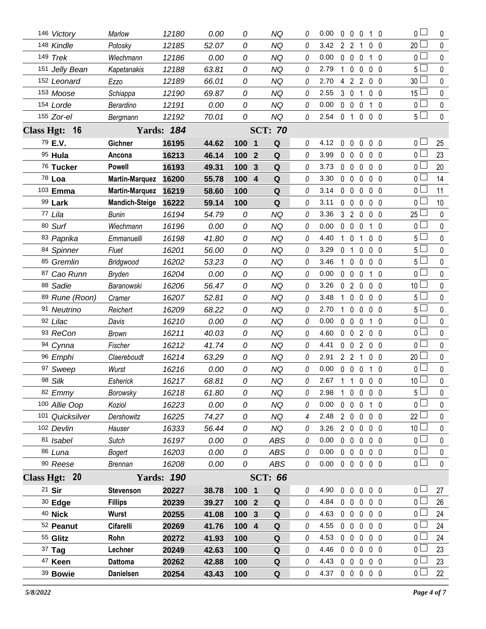| 146 Victory     | Marlow                | 12180             | 0.00  | 0       | NQ                  | 0        | 0.00           | $\bf{0}$       | $0\quad 0$        |                | 10                                     | 0 l             | 0            |
|-----------------|-----------------------|-------------------|-------|---------|---------------------|----------|----------------|----------------|-------------------|----------------|----------------------------------------|-----------------|--------------|
| 148 Kindle      | Potosky               | 12185             | 52.07 | 0       | <b>NQ</b>           | 0        | 3.42           | $2^{\circ}$    | $\overline{2}$    | 1              | 0 <sub>0</sub>                         | 20              | 0            |
| 149 Trek        | Wiechmann             | 12186             | 0.00  | 0       | ΝQ                  | 0        | 0.00           | $\mathbf 0$    | $\mathbf 0$       | 0              | 10                                     | 0               | 0            |
| 151 Jelly Bean  | Kapetanakis           | 12188             | 63.81 | 0       | <b>NQ</b>           | 0        | 2.79           | $\mathbf{1}$   | $\mathbf 0$       | 0              | 0 <sub>0</sub>                         | 5 <sup>1</sup>  | $\pmb{0}$    |
| 152 Leonard     | Ezzo                  | 12189             | 66.01 | 0       | ΝQ                  | 0        | 2.70           | 4              | 2 <sub>2</sub>    |                | $0\quad 0$                             | 30              | 0            |
| 153 Moose       | Schiappa              | 12190             | 69.87 | 0       | <b>NQ</b>           | 0        | 2.55           | 3              | $\mathbf 0$       | 1              | 0 <sub>0</sub>                         | 15 <sup>L</sup> | 0            |
| 154 Lorde       | Berardino             | 12191             | 0.00  | 0       | <b>NQ</b>           | 0        | 0.00           | $0\quad 0$     |                   | $\mathbf 0$    | 10                                     | 0 l             | 0            |
| 155 Zor-el      | Bergmann              | 12192             | 70.01 | 0       | <b>NQ</b>           | 0        | 2.54           | 0 <sub>1</sub> |                   | 0              | 0 <sub>0</sub>                         | 5 <sup>1</sup>  | 0            |
| Class Hgt: 16   |                       | <b>Yards: 184</b> |       |         | <b>SCT: 70</b>      |          |                |                |                   |                |                                        |                 |              |
| 79 E.V.         | Gichner               | 16195             | 44.62 | 100 1   | Q                   | 0        | 4.12           | $\mathbf 0$    | 0                 | $\mathbf 0$    | 0 <sub>0</sub>                         | 0 L             | 25           |
| 95 Hula         | Ancona                | 16213             | 46.14 | 100     | Q<br>$\mathbf{2}$   | $\theta$ | 3.99           | $0\quad 0$     |                   | $\mathbf 0$    | 0 <sub>0</sub>                         | 0 l             | 23           |
| 76 Tucker       | <b>Powell</b>         | 16193             | 49.31 | 100     | 3<br>Q              | 0        | 3.73           | $0\quad 0$     |                   | 0              | 0 <sub>0</sub>                         | 0 l             | 20           |
| 78 Loa          | <b>Martin-Marquez</b> | 16200             | 55.78 | 100     | Q<br>$\overline{4}$ | $\theta$ | 3.30           | $0\quad 0$     |                   | $\mathbf 0$    | 0 <sub>0</sub>                         | 0 <sub>0</sub>  | 14           |
| 103 Emma        | <b>Martin-Marquez</b> | 16219             | 58.60 | 100     | Q                   | 0        | 3.14           | $0\quad 0$     |                   | 0              | 0 <sub>0</sub>                         | 0 <sub>0</sub>  | 11           |
| 99 Lark         | <b>Mandich-Steige</b> | 16222             | 59.14 | 100     | Q                   | 0        | 3.11           | 0              | $\mathbf 0$       | $\mathbf 0$    | 0 <sub>0</sub>                         | 0 L             | 10           |
| 77 Lila         | Bunin                 | 16194             | 54.79 | 0       | <b>NQ</b>           | 0        | 3.36           |                | 320               |                | 0 <sub>0</sub>                         | $25$ $-$        | 0            |
| 80 Surf         | Wiechmann             | 16196             | 0.00  | 0       | <b>NQ</b>           | 0        | 0.00           | $\mathbf 0$    | $\mathbf 0$       | 0              | $1\quad0$                              | 0 L             | 0            |
| 83 Paprika      | Emmanuelli            | 16198             | 41.80 | 0       | <b>NQ</b>           | 0        | 4.40           | $\mathbf{1}$   | $\mathbf 0$       | 1              | 0 <sub>0</sub>                         | 5 <sup>1</sup>  | 0            |
| 84 Spinner      | Fluet                 | 16201             | 56.00 | 0       | <b>NQ</b>           | 0        | 3.29           | 0              | $\mathbf{1}$      | 0              | 0 <sub>0</sub>                         | 5 l             | $\mathbf{0}$ |
| 85 Gremlin      | Bridgwood             | 16202             | 53.23 | 0       | ΝQ                  | 0        | 3.46           | 1.             | $\mathbf{0}$      | 0              | 0 <sub>0</sub>                         | 5 L             | 0            |
| 87 Cao Runn     | Bryden                | 16204             | 0.00  | 0       | <b>NQ</b>           | 0        | 0.00           | $\mathbf 0$    | $\mathbf 0$       | 0              | $1\quad0$                              | 0 <sub>0</sub>  | $\mathbf{0}$ |
| 88 Sadie        | Baranowski            | 16206             | 56.47 | 0       | <b>NQ</b>           | 0        | 3.26           | $\mathbf 0$    | $2^{\circ}$       | $\mathbf 0$    | 0 <sub>0</sub>                         | 10 <sup>1</sup> | 0            |
| 89 Rune (Roon)  | Cramer                | 16207             | 52.81 | 0       | <b>NQ</b>           | 0        | 3.48           | $\mathbf{1}$   | $\mathbf 0$       | 0              | 0 <sub>0</sub>                         | 5 <sup>1</sup>  | $\mathbf 0$  |
| 91 Neutrino     | Reichert              | 16209             | 68.22 | 0       | <b>NQ</b>           | 0        | 2.70           | $\mathbf 1$    | $\mathbf 0$       | 0              | 0 <sub>0</sub>                         | 5 <sup>1</sup>  | 0            |
| 92 Lilac        | Davis                 | 16210             | 0.00  | 0       | <b>NQ</b>           | 0        | 0.00           | 0              | $\mathbf 0$       | 0              | $1\quad0$                              | 0 l             | $\mathbf 0$  |
| 93 ReCon        | <b>Brown</b>          | 16211             | 40.03 | 0       | <b>NQ</b>           | 0        | 4.60           | $0\quad 0$     |                   | $\overline{2}$ | 0 <sub>0</sub>                         | 0 l             | 0            |
| 94 Cynna        | Fischer               | 16212             | 41.74 | 0       | <b>NQ</b>           | 0        | 4.41           | $\mathbf 0$    | $\overline{0}$    | $\overline{2}$ | 0 <sub>0</sub>                         | 0 <sub>0</sub>  | $\mathbf 0$  |
| 96 Emphi        | Claereboudt           | 16214             | 63.29 | 0       | <b>NQ</b>           | 0        | 2.91           | 2 <sub>2</sub> |                   | 1              | 0 <sub>0</sub>                         | 20              | 0            |
| 97 Sweep        | Wurst                 | 16216             | 0.00  | 0       | <b>NQ</b>           | 0        | 0.00           | $\mathbf 0$    | $\mathbf 0$       | 0              | $1\quad0$                              | 0               | $\mathbf 0$  |
| 98 Silk         | Esherick              | 16217             | 68.81 | 0       | <b>NQ</b>           | 0        | 2.67           | $1\quad1$      |                   | $\mathbf 0$    | $\mathbf 0$<br>$\overline{\mathbf{0}}$ | 10 <sup>1</sup> | 0            |
| 82 Emmy         | Borowsky              | 16218             | 61.80 | 0       | <b>NQ</b>           | 0        | 2.98           | $\mathbf{1}$   |                   |                | 0 0 0 0                                | $5+$            | 0            |
| 100 Allie Oop   | Koziol                | 16223             | 0.00  | 0       | NQ                  | 0        | 0.00           |                | $0\quad 0$        | 0              | 1 0                                    | 0 l             | 0            |
| 101 Quicksilver | Dershowitz            | 16225             | 74.27 | 0       | <b>NQ</b>           | 4        | 2.48           | $2\quad0$      |                   | $\mathbf 0$    | 0 <sub>0</sub>                         | 22              | 0            |
| 102 Devlin      | Hauser                | 16333             | 56.44 | 0       | <b>NQ</b>           | 0        | 3.26           |                | 200               |                | 0 <sub>0</sub>                         | 10 <sup>1</sup> | 0            |
| 81 Isabel       | Sutch                 | 16197             | 0.00  | 0       | ABS                 | 0        | 0.00           | $0\quad 0$     |                   | $\mathbf 0$    | 0 <sub>0</sub>                         | 0 <sup>1</sup>  | 0            |
| 86 Luna         | <b>Bogert</b>         | 16203             | 0.00  | 0       | <b>ABS</b>          | 0        | 0.00           | $0\quad 0$     |                   | $\mathbf 0$    | 0 <sub>0</sub>                         | $\overline{0}$  | $\pmb{0}$    |
| 90 Reese        | <b>Brennan</b>        | 16208             | 0.00  | 0       | ABS                 | 0        | 0.00           |                | $0\quad 0\quad 0$ |                | 0 <sub>0</sub>                         | $\overline{0}$  | 0            |
| Class Hgt: 20   |                       | <b>Yards: 190</b> |       |         | <b>SCT: 66</b>      |          |                |                |                   |                |                                        |                 |              |
| 21 Sir          | <b>Stevenson</b>      | 20227             | 38.78 | 100 1   | Q                   | 0        | 4.90           | $\mathbf 0$    | $\mathbf 0$       | $\mathbf 0$    | 0 <sub>0</sub>                         | 0 <sub>1</sub>  | 27           |
| $30$ Edge       | <b>Fillips</b>        | 20239             | 39.27 | $1002$  | $\mathbf Q$         | 0        | 4.84           |                | $0\quad 0$        | $\mathbf 0$    | 0 <sub>0</sub>                         | 0 <sub>1</sub>  | 26           |
| 40 Nick         | <b>Wurst</b>          | 20255             | 41.08 | 100 3   | Q                   | 0        | 4.63           | $0\quad 0$     |                   | $\mathbf 0$    | 0 <sub>0</sub>                         | 0 <sub>1</sub>  | 24           |
| 52 Peanut       | Cifarelli             | 20269             | 41.76 | $100$ 4 | $\mathbf Q$         | 0        | 4.55           | $0\quad 0$     |                   | $\mathbf 0$    | 0 <sub>0</sub>                         | 0 L             | 24           |
| 55 Glitz        | Rohn                  | 20272             | 41.93 | 100     | Q                   | 0        | 4.53           | $0\quad 0$     |                   | $\mathbf 0$    | 0 <sub>0</sub>                         | 0 <sub>0</sub>  | 24           |
| 37 Tag          | Lechner               | 20249             | 42.63 | 100     | ${\bf Q}$           | 0        | 4.46           | $0\quad 0$     |                   | $\mathbf 0$    | 0 <sub>0</sub>                         | 0 L             | 23           |
| 47 Keen         | <b>Dattoma</b>        | 20262             | 42.88 | 100     | Q                   | 0        | 4.43           | $0\quad 0$     |                   | $\mathbf 0$    | 0 <sub>0</sub>                         | 0 <sub>0</sub>  | 23           |
| 39 Bowie        | <b>Danielsen</b>      | 20254             | 43.43 | 100     | $\mathbf Q$         | 0        | 4.37 0 0 0 0 0 |                |                   |                |                                        | 0 <sub>0</sub>  | 22           |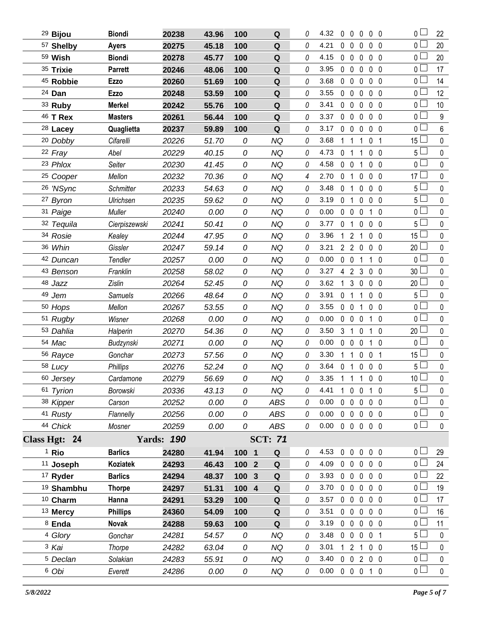| <sup>29</sup> Bijou   | <b>Biondi</b>   | 20238             | 43.96 | 100   | Q              | 0 | 4.32                       | $0\quad 0$     | $\mathbf 0$                  | $0\quad 0$     |                | $\overline{0}$ $\Box$ | 22               |
|-----------------------|-----------------|-------------------|-------|-------|----------------|---|----------------------------|----------------|------------------------------|----------------|----------------|-----------------------|------------------|
| 57 Shelby             | <b>Ayers</b>    | 20275             | 45.18 | 100   | ${\bf Q}$      | 0 | 4.21                       | $\mathbf 0$    | $\mathbf 0$<br>$\mathbf 0$   | 0 <sub>0</sub> |                | 0 <sub>0</sub>        | 20               |
| 59 Wish               | <b>Biondi</b>   | 20278             | 45.77 | 100   | ${\bf Q}$      | 0 | 4.15                       | $0\quad 0$     | $\mathbf 0$                  |                | 0 <sub>0</sub> | 0 L                   | 20               |
| 35 Trixie             | <b>Parrett</b>  | 20246             | 48.06 | 100   | Q              | 0 | 3.95                       | $0\quad 0$     | $\mathbf 0$                  | $0\quad 0$     |                | 0 <sub>0</sub>        | 17               |
| 45 Robbie             | <b>Ezzo</b>     | 20260             | 51.69 | 100   | Q              | 0 | 3.68                       | $0\quad 0$     | 0                            |                | 0 <sub>0</sub> | 0 <sub>1</sub>        | 14               |
| 24 Dan                | <b>Ezzo</b>     | 20248             | 53.59 | 100   | Q              | 0 | 3.55                       | $0\quad 0$     | 0                            | $0\quad 0$     |                | 0 <sub>1</sub>        | 12               |
| 33 Ruby               | <b>Merkel</b>   | 20242             | 55.76 | 100   | Q              | 0 | 3.41                       | $0\quad 0$     | 0                            |                | 0 <sub>0</sub> | 0 l                   | 10               |
| 46 T Rex              | <b>Masters</b>  | 20261             | 56.44 | 100   | Q              | 0 | 3.37                       | 0 <sub>0</sub> | $\mathbf 0$                  | $0\quad 0$     |                | 0 <sub>0</sub>        | $\boldsymbol{9}$ |
| $28$ Lacey            | Quaglietta      | 20237             | 59.89 | 100   | Q              | 0 | 3.17                       | $\mathbf 0$    | $\mathbf 0$<br>0             |                | 0 <sub>0</sub> | 0 l                   | 6                |
| 20 Dobby              | Cifarelli       | 20226             | 51.70 | 0     | NQ             | 0 | 3.68                       | 1              | -1<br>1                      | 0              | - 1            | 15                    | $\pmb{0}$        |
| 22 Fray               | Abel            | 20229             | 40.15 | 0     | <b>NQ</b>      | 0 | 4.73                       | $\mathbf{0}$   | $\overline{1}$<br>1          |                | 0 <sub>0</sub> | 5 <sup>1</sup>        | $\mathbf 0$      |
| 23 Phlox              | Seiter          | 20230             | 41.45 | 0     | <b>NQ</b>      | 0 | 4.58                       | $0\quad 0$     | 1                            | 0 <sub>0</sub> |                | $\overline{0}$        | $\pmb{0}$        |
| <sup>25</sup> Cooper  | Mellon          | 20232             | 70.36 | 0     | <b>NQ</b>      | 4 | 2.70                       | $\mathbf 0$    | $\mathbf{0}$<br>$\mathbf{1}$ |                | 0 <sub>0</sub> | $17\perp$             | 0                |
| 26 'NSync             | Schmitter       | 20233             | 54.63 | 0     | <b>NQ</b>      | 0 | 3.48                       | 0 <sub>1</sub> | $\mathbf 0$                  | $0\quad 0$     |                | $5\Box$               | $\pmb{0}$        |
| 27 Byron              | Ulrichsen       | 20235             | 59.62 | 0     | <b>NQ</b>      | 0 | 3.19                       | 0 <sub>1</sub> | $\mathbf 0$                  |                | 0 <sub>0</sub> | 5 <sup>1</sup>        | $\mathbf 0$      |
| 31 Paige              | Muller          | 20240             | 0.00  | 0     | <b>NQ</b>      | 0 | 0.00                       | $0\quad 0$     | 0                            |                | $1\quad0$      | 0 <sub>1</sub>        | $\pmb{0}$        |
| 32 Tequila            | Cierpiszewski   | 20241             | 50.41 | 0     | <b>NQ</b>      | 0 | 3.77                       | $\mathbf{0}$   | 0<br>$\overline{1}$          |                | 0 <sub>0</sub> | 5 L                   | 0                |
| 34 Rosie              | Kealey          | 20244             | 47.95 | 0     | <b>NQ</b>      | 0 | 3.96                       | 1              | $\overline{2}$<br>1          | 0 <sub>0</sub> |                | $15\perp$             | 0                |
| 36 Whin               | Gissler         | 20247             | 59.14 | 0     | <b>NQ</b>      | 0 | 3.21                       |                | 220                          |                | 0 <sub>0</sub> | 20                    | 0                |
| 42 Duncan             | Tendler         | 20257             | 0.00  | 0     | <b>NQ</b>      | 0 | 0.00                       | $0\quad 0$     | 1                            |                | $1\quad0$      | 0 <sub>1</sub>        | $\pmb{0}$        |
| 43 Benson             | Franklin        | 20258             | 58.02 | 0     | <b>NQ</b>      | 0 | 3.27                       |                | 423                          | 0 <sub>0</sub> |                | 30 <sup>1</sup>       | 0                |
| 48 Jazz               | Zislin          | 20264             | 52.45 | 0     | <b>NQ</b>      | 0 | 3.62                       | 1              | 3<br>$\mathbf 0$             | $0\quad 0$     |                | $20$ $-$              | $\pmb{0}$        |
| 49 Jem                | <b>Samuels</b>  | 20266             | 48.64 | 0     | <b>NQ</b>      | 0 | 3.91                       | 0 <sub>1</sub> | 1                            |                | 0 <sub>0</sub> | 5 <sup>1</sup>        | 0                |
| 50 Hops               | Mellon          | 20267             | 53.55 | 0     | <b>NQ</b>      | 0 | 3.55                       | $0\quad 0$     | 1                            |                | 0 <sub>0</sub> | 0 <sub>1</sub>        | $\pmb{0}$        |
| 51 Rugby              | Wisner          | 20268             | 0.00  | 0     | <b>NQ</b>      | 0 | 0.00                       | $0\quad 0$     | $\mathbf 0$                  |                | $1\quad0$      | 0 L                   | 0                |
| 53 Dahlia             | Halperin        | 20270             | 54.36 | 0     | <b>NQ</b>      | 0 | 3.50                       | 3 1            | $\mathbf 0$                  | 1 0            |                | 20 <sup>L</sup>       | 0                |
| 54 Mac                | Budzynski       | 20271             | 0.00  | 0     | <b>NQ</b>      | 0 | 0.00                       | $0\quad 0$     | $\mathbf 0$                  |                | $1\quad0$      | 0 l                   | 0                |
| 56 Rayce              | Gonchar         | 20273             | 57.56 | 0     | <b>NQ</b>      | 0 | 3.30                       | 1              | $\mathbf 0$<br>$\mathbf{1}$  | 0 <sub>1</sub> |                | 15                    | $\pmb{0}$        |
| 58 Lucy               | <b>Phillips</b> | 20276             | 52.24 | 0     | <b>NQ</b>      | 0 | 3.64                       | $\mathbf 0$    | $\mathbf 0$<br>$\mathbf{1}$  | 0 <sub>0</sub> |                | 5 l                   | $\pmb{0}$        |
| 60 Jersey             | Cardamone       | 20279             | 56.69 | 0     | <b>NQ</b>      | 0 | 3.35                       | $1\quad1$      | $\mathbf{1}$                 | 0 <sub>0</sub> |                | 10 <sup>1</sup>       | $\mathbf 0$      |
| 61 Tyrion             | Borowski        | 20336             | 43.13 | 0     | <b>NQ</b>      | 0 | 4.41                       |                | 1 0 0 1 0                    |                |                | $5 -$                 | 0                |
| 38 Kipper             | Carson          | 20252             | 0.00  | 0     | ABS            | 0 | 0.00                       |                | 00000                        |                |                | 0 <sup>2</sup>        | $\pmb{0}$        |
| 41 Rusty              | Flannelly       | 20256             | 0.00  | 0     | <b>ABS</b>     | 0 | 0.00                       |                | 00000                        |                |                | 0 <sub>0</sub>        | 0                |
| 44 Chick              | Mosner          | 20259             | 0.00  | 0     | ABS            | 0 | $0.00 \t0 \t0 \t0 \t0 \t0$ |                |                              |                |                | $\overline{0}$        | $\pmb{0}$        |
| Class Hgt: 24         |                 | <b>Yards: 190</b> |       |       | <b>SCT: 71</b> |   |                            |                |                              |                |                |                       |                  |
| <sup>1</sup> Rio      | <b>Barlics</b>  | 24280             | 41.94 | 100 1 | Q              | 0 | 4.53                       |                | 0 0 0 0 0                    |                |                | 0 <sub>1</sub>        | 29               |
| 11 Joseph             | Koziatek        | 24293             | 46.43 | 100 2 | $\mathbf Q$    | 0 | 4.09                       |                | 00000                        |                |                | 0 <sub>l</sub>        | 24               |
| 17 Ryder              | <b>Barlics</b>  | 24294             | 48.37 | 100 3 | Q              | 0 | 3.93                       |                | $0\quad 0\quad 0$            | 0 <sub>0</sub> |                | 0 L                   | 22               |
| <sup>19</sup> Shambhu | <b>Thorpe</b>   | 24297             | 51.31 | 100 4 | ${\bf Q}$      | 0 | 3.70                       |                | 00000                        |                |                | 0 <sup>1</sup>        | 19               |
| 10 Charm              | Hanna           | 24291             | 53.29 | 100   | Q              | 0 | 3.57                       |                | $0\quad 0\quad 0$            | 0 <sub>0</sub> |                | 0 L                   | 17               |
| 13 Mercy              | <b>Phillips</b> | 24360             | 54.09 | 100   | Q              | 0 | 3.51                       |                | 00000                        |                |                | 0 <sub>1</sub>        | 16               |
| 8 Enda                | Novak           | 24288             | 59.63 | 100   | Q              | 0 | 3.19                       |                | $0\quad 0\quad 0$            | $0\quad 0$     |                | 0 <sub>0</sub>        | 11               |
| 4 Glory               | Gonchar         | 24281             | 54.57 | 0     | <b>NQ</b>      | 0 | 3.48                       |                | 0 0 0 0 1                    |                |                | 5 <sub>1</sub>        | $\mathbf 0$      |
| 3 Kai                 | Thorpe          | 24282             | 63.04 | 0     | <b>NQ</b>      | 0 | 3.01                       |                | $121$                        | $0\quad 0$     |                | 15 <sup>L</sup>       | 0                |
| <sup>5</sup> Declan   | Solakian        | 24283             | 55.91 | 0     | <b>NQ</b>      | 0 | 3.40                       |                | 0 0 2 0 0                    |                |                | 0 <sub>0</sub>        | $\pmb{0}$        |
| 6 Obi                 | Everett         | 24286             | 0.00  | 0     | NQ             | 0 | $0.00 \t0 \t0 \t0 \t1 \t0$ |                |                              |                |                | 0 <sub>0</sub>        | $\mathbf 0$      |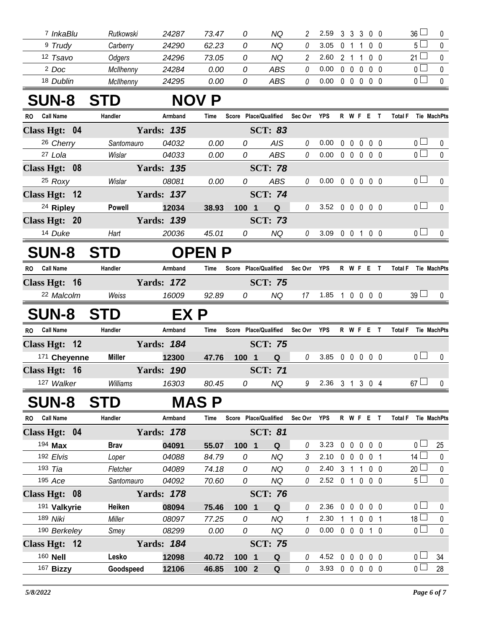| InkaBlu            | Rutkowski | 24287 | 73.47 |   | NQ  | 59   |  | 300   | 36 |  |
|--------------------|-----------|-------|-------|---|-----|------|--|-------|----|--|
| <sup>9</sup> Trudy | Carberry  | 24290 | 62.23 |   | ΝQ  | 3.05 |  |       |    |  |
| 12 Tsavo           | Odgers    | 24296 | 73.05 |   | ΝQ  | 2.60 |  | . റ റ | 21 |  |
| <sup>2</sup> Doc   | McIlhenny | 24284 | 0.00  | 0 | ABS | 0.00 |  | 000   |    |  |
| 18 Dublin          | McIlhenny | 24295 | 0.00  | 0 | ABS | 0.00 |  |       |    |  |

## **SUN-8 STD NOV P**

| RO.       | <b>Call Name</b>                   | Handler       |                                                                                                                                                                                                                                                                                                                                    | Armband | Time         |     |                         |                               | Score Place/Qualified Sec Ovr YPS |                            |  | R W F E T                       | Total F Tie MachPts |                |                    |
|-----------|------------------------------------|---------------|------------------------------------------------------------------------------------------------------------------------------------------------------------------------------------------------------------------------------------------------------------------------------------------------------------------------------------|---------|--------------|-----|-------------------------|-------------------------------|-----------------------------------|----------------------------|--|---------------------------------|---------------------|----------------|--------------------|
|           | Class Hgt: 04                      |               | <b>Yards: 135</b>                                                                                                                                                                                                                                                                                                                  |         |              |     |                         | <b>SCT: 83</b>                |                                   |                            |  |                                 |                     |                |                    |
|           | 26 Cherry                          | Santomauro    |                                                                                                                                                                                                                                                                                                                                    | 04032   | 0.00         |     | 0                       | <b>AIS</b>                    | $\theta$                          | 0.00                       |  | $0\quad 0\quad 0\quad 0\quad 0$ |                     | 0 <sub>0</sub> | 0                  |
|           | 27 Lola                            | Wislar        |                                                                                                                                                                                                                                                                                                                                    | 04033   | 0.00         |     | 0                       | <b>ABS</b>                    | 0                                 | 0.00                       |  | 00000                           |                     | $\overline{0}$ | $\pmb{0}$          |
|           | Class Hgt: 08                      |               | <b>Yards: 135</b>                                                                                                                                                                                                                                                                                                                  |         |              |     |                         | <b>SCT: 78</b>                |                                   |                            |  |                                 |                     |                |                    |
|           | 25 Roxy                            | Wislar        |                                                                                                                                                                                                                                                                                                                                    | 08081   | 0.00         |     | 0                       | <b>ABS</b>                    | $\theta$                          | $0.00 \t0 \t0 \t0 \t0 \t0$ |  |                                 |                     | 0 <sub>0</sub> | $\mathbf 0$        |
|           | Class Hgt: 12                      |               | <b>Yards: 137</b>                                                                                                                                                                                                                                                                                                                  |         |              |     |                         | <b>SCT: 74</b>                |                                   |                            |  |                                 |                     |                |                    |
|           | <sup>24</sup> Ripley               | <b>Powell</b> |                                                                                                                                                                                                                                                                                                                                    | 12034   | 38.93        | 100 | $\overline{\mathbf{1}}$ | Q                             | $\theta$                          | 3.52 0 0 0 0 0             |  |                                 |                     | $0-$           | $\mathbf{0}$       |
|           | Class Hgt: 20                      |               | <b>Yards: 139</b>                                                                                                                                                                                                                                                                                                                  |         |              |     |                         | <b>SCT: 73</b>                |                                   |                            |  |                                 |                     |                |                    |
|           | 14 Duke                            | Hart          |                                                                                                                                                                                                                                                                                                                                    | 20036   | 45.01        |     | 0                       | NQ                            | 0                                 | 3.09 0 0 1 0 0             |  |                                 |                     | 0 <sub>0</sub> | $\mathbf{0}$       |
|           | <b>SUN-8</b>                       | <b>STD</b>    |                                                                                                                                                                                                                                                                                                                                    |         | <b>OPENP</b> |     |                         |                               |                                   |                            |  |                                 |                     |                |                    |
| <b>RO</b> | <b>Call Name</b>                   | Handler       |                                                                                                                                                                                                                                                                                                                                    | Armband | Time         |     |                         | Score Place/Qualified         | Sec Ovr                           | <b>YPS</b>                 |  | R W F E T                       | <b>Total F</b>      |                | Tie MachPts        |
|           | Class Hgt: 16                      |               | <b>Yards: 172</b>                                                                                                                                                                                                                                                                                                                  |         |              |     |                         | <b>SCT: 75</b>                |                                   |                            |  |                                 |                     |                |                    |
|           | 22 Malcolm                         | Weiss         |                                                                                                                                                                                                                                                                                                                                    | 16009   | 92.89        |     | 0                       | NQ                            | 17                                | 1.85 1 0 0 0 0             |  |                                 |                     | $39$ $\Box$    | 0                  |
|           | SUN-8 STD                          |               |                                                                                                                                                                                                                                                                                                                                    | EX P    |              |     |                         |                               |                                   |                            |  |                                 |                     |                |                    |
| <b>RO</b> | <b>Call Name</b>                   | Handler       |                                                                                                                                                                                                                                                                                                                                    | Armband | Time         |     |                         |                               | Score Place/Qualified Sec Ovr YPS |                            |  | R W F E T                       | <b>Total F</b>      |                | Tie MachPts        |
|           | Class Hgt: 12                      |               | <b>Yards: 184</b>                                                                                                                                                                                                                                                                                                                  |         |              |     |                         | <b>SCT: 75</b>                |                                   |                            |  |                                 |                     |                |                    |
|           | 171 Cheyenne                       | <b>Miller</b> |                                                                                                                                                                                                                                                                                                                                    | 12300   | 47.76        |     | 100 1                   | Q                             | $\theta$                          | 3.85 0 0 0 0 0             |  |                                 |                     | $\overline{0}$ | 0                  |
|           | Class Hgt: 16                      |               | <b>Yards: 190</b>                                                                                                                                                                                                                                                                                                                  |         |              |     |                         | <b>SCT: 71</b>                |                                   |                            |  |                                 |                     |                |                    |
|           | 127 Walker                         | Williams      |                                                                                                                                                                                                                                                                                                                                    | 16303   | 80.45        |     | 0                       | <b>NQ</b>                     | 9                                 | 2.36 3 1 3 0 4             |  |                                 |                     | 67             | 0                  |
|           | <b>SUN-8</b>                       | <b>STD</b>    |                                                                                                                                                                                                                                                                                                                                    |         | <b>MASP</b>  |     |                         |                               |                                   |                            |  |                                 |                     |                |                    |
| <b>RO</b> | <b>Call Name</b>                   | Handler       |                                                                                                                                                                                                                                                                                                                                    | Armband | Time         |     |                         | Score Place/Qualified Sec Ovr |                                   | <b>YPS</b>                 |  | R W F E T                       | <b>Total F</b>      |                | <b>Tie MachPts</b> |
|           | $\Omega$ $\mathbf{H}$ $\mathbf{A}$ |               | $\mathbf{V}$ $\mathbf{V}$ $\mathbf{V}$ $\mathbf{V}$ $\mathbf{V}$ $\mathbf{V}$ $\mathbf{V}$ $\mathbf{V}$ $\mathbf{V}$ $\mathbf{V}$ $\mathbf{V}$ $\mathbf{V}$ $\mathbf{V}$ $\mathbf{V}$ $\mathbf{V}$ $\mathbf{V}$ $\mathbf{V}$ $\mathbf{V}$ $\mathbf{V}$ $\mathbf{V}$ $\mathbf{V}$ $\mathbf{V}$ $\mathbf{V}$ $\mathbf{V}$ $\mathbf{$ |         |              |     |                         | $CCT$ $Q$                     |                                   |                            |  |                                 |                     |                |                    |

| Class Hgt: 04      |               | <b>Yards: 178</b> |       |                       | <b>SCT: 81</b> |          |      |              |                          |                |                       |              |
|--------------------|---------------|-------------------|-------|-----------------------|----------------|----------|------|--------------|--------------------------|----------------|-----------------------|--------------|
| 194 <b>Max</b>     | <b>Brav</b>   | 04091             | 55.07 | 1001                  | Q              | 0        | 3.23 | <sup>0</sup> | 0                        | 00             | $\cap$ $\Box$         | 25           |
| $192$ <i>Elvis</i> | Loper         | 04088             | 84.79 | 0                     | ΝQ             | 3        | 2.10 | $\Omega$     |                          | $\Omega$       | 14                    | $\Omega$     |
| 193 <i>Tia</i>     | Fletcher      | 04089             | 74.18 | 0                     | ΝQ             | 0        | 2.40 | 3            |                          | 0 <sub>0</sub> | 20                    | $\Omega$     |
| $195$ Ace          | Santomauro    | 04092             | 70.60 | 0                     | ΝQ             | 0        | 2.52 | $\Omega$     | $\mathbf{0}$             | $0\quad 0$     | 5 <sub>1</sub>        | $\mathbf 0$  |
| Class Hgt: 08      |               | <b>Yards: 178</b> |       |                       | <b>SCT: 76</b> |          |      |              |                          |                |                       |              |
| 191 Valkyrie       | <b>Heiken</b> | 08094             | 75.46 | 1001                  | Q              | 0        | 2.36 | <sup>0</sup> | $\Omega$                 | 0 <sub>0</sub> | $\Omega$              | $\Omega$     |
| 189 <i>Niki</i>    | Miller        | 08097             | 77.25 | 0                     | ΝQ             |          | 2.30 |              |                          | $\Omega$       | 18 <sup>1</sup>       | $\mathbf{0}$ |
| 190 Berkeley       | Smey          | 08299             | 0.00  | 0                     | ΝQ             | 0        | 0.00 | $\Omega$     | $\Omega$<br>$\Omega$     | 10             | $\overline{0}$ $\Box$ | $\mathbf{0}$ |
| Class Hgt: 12      |               | <b>Yards: 184</b> |       |                       | <b>SCT: 75</b> |          |      |              |                          |                |                       |              |
| 160 <b>Nell</b>    | Lesko         | 12098             | 40.72 | 1001                  | Q              | $\theta$ | 4.52 | 0            | $\Omega$<br>$\mathsf{D}$ | 0 O            | $\overline{0}$        | 34           |
| 167 Bizzy          | Goodspeed     | 12106             | 46.85 | 100<br>$\overline{2}$ | Q              | 0        | 3.93 | 0            | $\bf{0}$<br>$\Omega$     | $0\quad 0$     |                       | 28           |